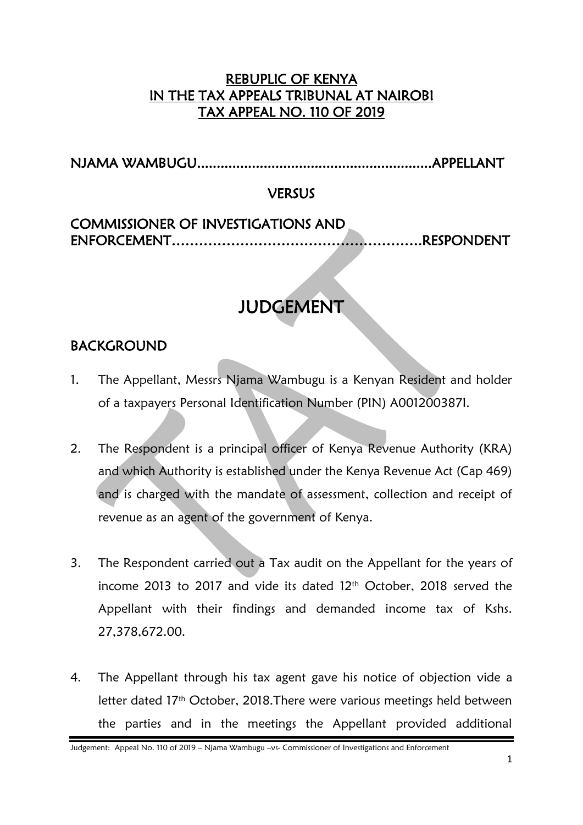## REBUPLIC OF KENYA IN THE TAX APPEALS TRIBUNAL AT NAIROBI TAX APPEAL NO. 110 OF 2019

NJAMA WAMBUGU............................................................APPELLANT

#### VERSUS

# COMMISSIONER OF INVESTIGATIONS AND ENFORCEMENT……………………………………………….RESPONDENT

# JUDGEMENT

# BACKGROUND

- 1. The Appellant, Messrs Njama Wambugu is a Kenyan Resident and holder of a taxpayers Personal Identification Number (PIN) A001200387I.
- 2. The Respondent is a principal officer of Kenya Revenue Authority (KRA) and which Authority is established under the Kenya Revenue Act (Cap 469) and is charged with the mandate of assessment, collection and receipt of revenue as an agent of the government of Kenya.
- 3. The Respondent carried out a Tax audit on the Appellant for the years of income 2013 to 2017 and vide its dated 12th October, 2018 served the Appellant with their findings and demanded income tax of Kshs. 27,378,672.00.
- 4. The Appellant through his tax agent gave his notice of objection vide a letter dated 17th October, 2018.There were various meetings held between the parties and in the meetings the Appellant provided additional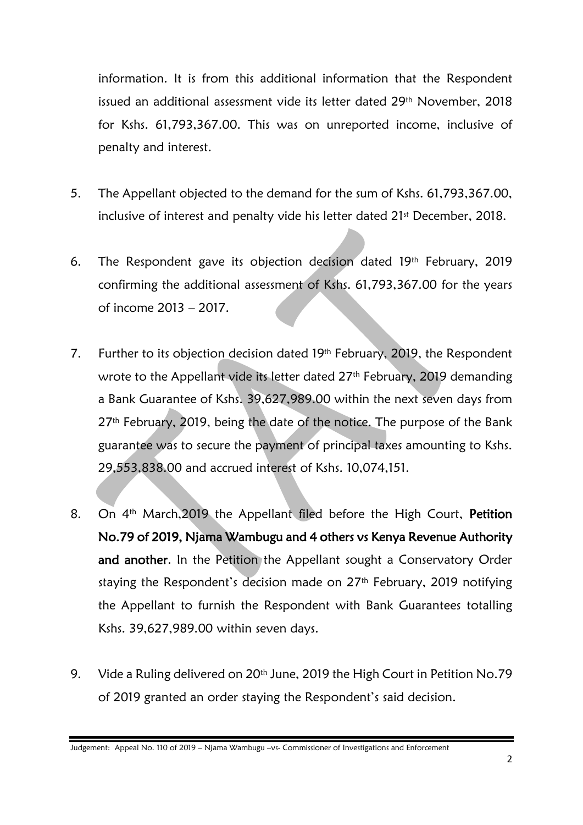information. It is from this additional information that the Respondent issued an additional assessment vide its letter dated 29<sup>th</sup> November, 2018 for Kshs. 61,793,367.00. This was on unreported income, inclusive of penalty and interest.

- 5. The Appellant objected to the demand for the sum of Kshs. 61,793,367.00, inclusive of interest and penalty vide his letter dated 21<sup>st</sup> December, 2018.
- 6. The Respondent gave its objection decision dated 19th February, 2019 confirming the additional assessment of Kshs. 61,793,367.00 for the years of income 2013 – 2017.
- 7. Further to its objection decision dated 19th February, 2019, the Respondent wrote to the Appellant vide its letter dated 27<sup>th</sup> February, 2019 demanding a Bank Guarantee of Kshs. 39,627,989.00 within the next seven days from 27<sup>th</sup> February, 2019, being the date of the notice. The purpose of the Bank guarantee was to secure the payment of principal taxes amounting to Kshs. 29,553,838.00 and accrued interest of Kshs. 10,074,151.
- 8. On 4<sup>th</sup> March, 2019 the Appellant filed before the High Court, Petition No.79 of 2019, Njama Wambugu and 4 others vs Kenya Revenue Authority and another. In the Petition the Appellant sought a Conservatory Order staying the Respondent's decision made on 27<sup>th</sup> February, 2019 notifying the Appellant to furnish the Respondent with Bank Guarantees totalling Kshs. 39,627,989.00 within seven days.
- 9. Vide a Ruling delivered on 20<sup>th</sup> June, 2019 the High Court in Petition No.79 of 2019 granted an order staying the Respondent's said decision.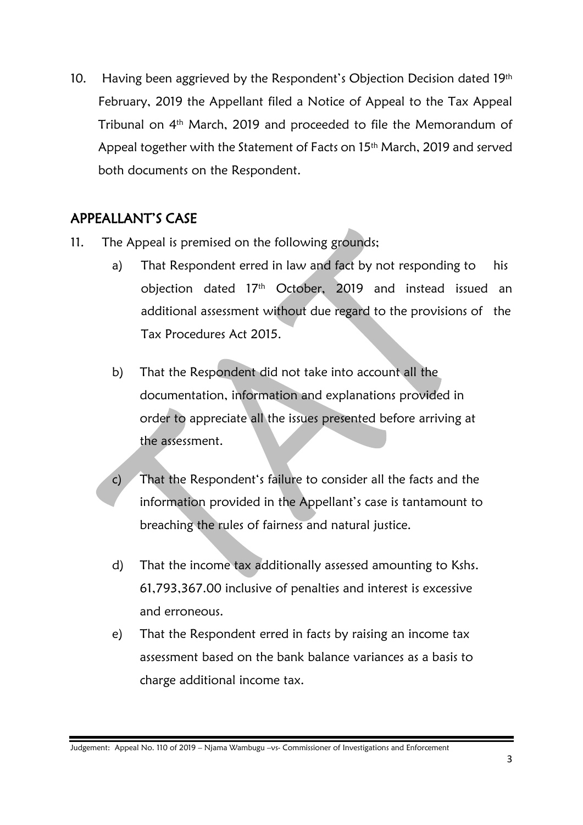10. Having been aggrieved by the Respondent's Objection Decision dated 19th February, 2019 the Appellant filed a Notice of Appeal to the Tax Appeal Tribunal on 4<sup>th</sup> March, 2019 and proceeded to file the Memorandum of Appeal together with the Statement of Facts on 15<sup>th</sup> March, 2019 and served both documents on the Respondent.

### APPEALLANT'S CASE

- 11. The Appeal is premised on the following grounds;
	- a) That Respondent erred in law and fact by not responding to his objection dated 17th October, 2019 and instead issued an additional assessment without due regard to the provisions of the Tax Procedures Act 2015.
	- b) That the Respondent did not take into account all the documentation, information and explanations provided in order to appreciate all the issues presented before arriving at the assessment.
	- c) That the Respondent's failure to consider all the facts and the information provided in the Appellant's case is tantamount to breaching the rules of fairness and natural justice.
	- d) That the income tax additionally assessed amounting to Kshs. 61,793,367.00 inclusive of penalties and interest is excessive and erroneous.
	- e) That the Respondent erred in facts by raising an income tax assessment based on the bank balance variances as a basis to charge additional income tax.

Judgement: Appeal No. 110 of 2019 – Njama Wambugu –vs- Commissioner of Investigations and Enforcement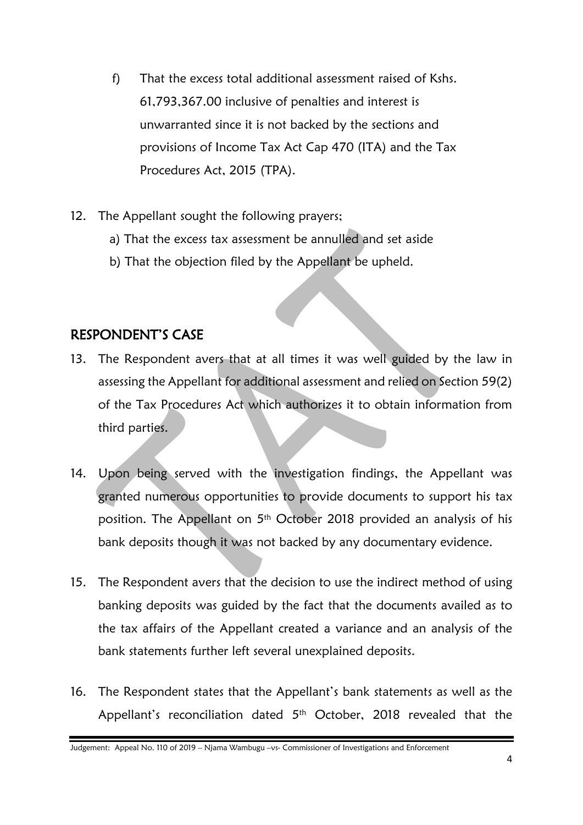- f) That the excess total additional assessment raised of Kshs. 61,793,367.00 inclusive of penalties and interest is unwarranted since it is not backed by the sections and provisions of Income Tax Act Cap 470 (ITA) and the Tax Procedures Act, 2015 (TPA).
- 12. The Appellant sought the following prayers;
	- a) That the excess tax assessment be annulled and set aside
	- b) That the objection filed by the Appellant be upheld.

#### RESPONDENT'S CASE

- 13. The Respondent avers that at all times it was well guided by the law in assessing the Appellant for additional assessment and relied on Section 59(2) of the Tax Procedures Act which authorizes it to obtain information from third parties.
- 14. Upon being served with the investigation findings, the Appellant was granted numerous opportunities to provide documents to support his tax position. The Appellant on 5th October 2018 provided an analysis of his bank deposits though it was not backed by any documentary evidence.
- 15. The Respondent avers that the decision to use the indirect method of using banking deposits was guided by the fact that the documents availed as to the tax affairs of the Appellant created a variance and an analysis of the bank statements further left several unexplained deposits.
- 16. The Respondent states that the Appellant's bank statements as well as the Appellant's reconciliation dated 5<sup>th</sup> October, 2018 revealed that the

Judgement: Appeal No. 110 of 2019 – Njama Wambugu –vs- Commissioner of Investigations and Enforcement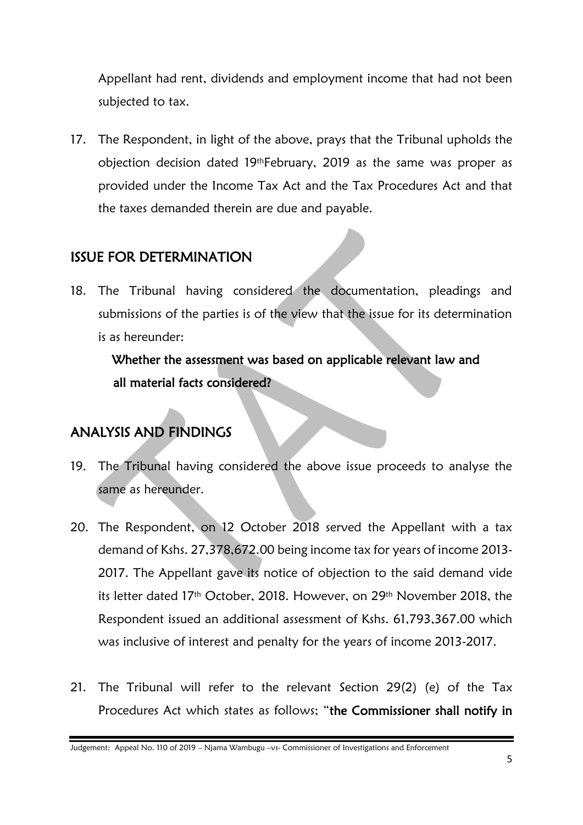Appellant had rent, dividends and employment income that had not been subjected to tax.

17. The Respondent, in light of the above, prays that the Tribunal upholds the objection decision dated 19thFebruary, 2019 as the same was proper as provided under the Income Tax Act and the Tax Procedures Act and that the taxes demanded therein are due and payable.

# ISSUE FOR DETERMINATION

18. The Tribunal having considered the documentation, pleadings and submissions of the parties is of the view that the issue for its determination is as hereunder:

 Whether the assessment was based on applicable relevant law and all material facts considered?

# ANALYSIS AND FINDINGS

- 19. The Tribunal having considered the above issue proceeds to analyse the same as hereunder.
- 20. The Respondent, on 12 October 2018 served the Appellant with a tax demand of Kshs. 27,378,672.00 being income tax for years of income 2013- 2017. The Appellant gave its notice of objection to the said demand vide its letter dated 17th October, 2018. However, on 29th November 2018, the Respondent issued an additional assessment of Kshs. 61,793,367.00 which was inclusive of interest and penalty for the years of income 2013-2017.
- 21. The Tribunal will refer to the relevant Section 29(2) (e) of the Tax Procedures Act which states as follows; "the Commissioner shall notify in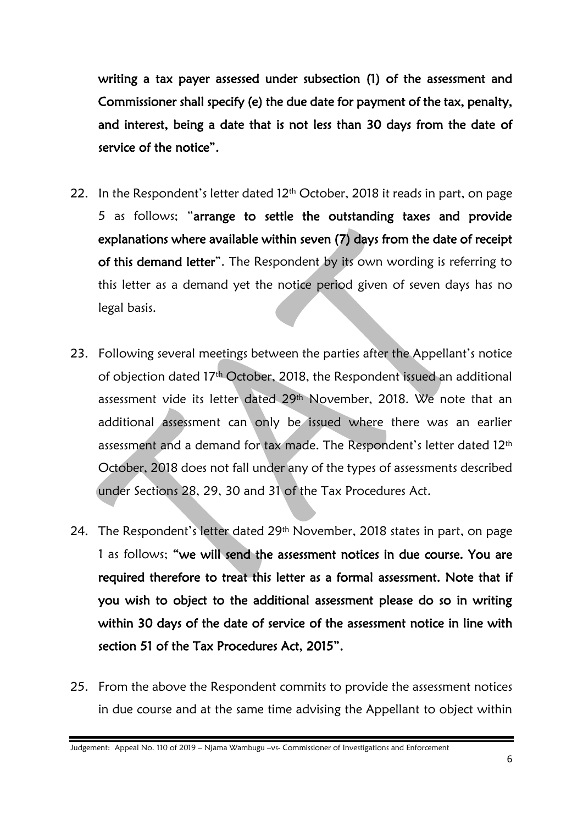writing a tax payer assessed under subsection (1) of the assessment and Commissioner shall specify (e) the due date for payment of the tax, penalty, and interest, being a date that is not less than 30 days from the date of service of the notice".

- 22. In the Respondent's letter dated  $12<sup>th</sup>$  October, 2018 it reads in part, on page 5 as follows; "arrange to settle the outstanding taxes and provide explanations where available within seven (7) days from the date of receipt of this demand letter". The Respondent by its own wording is referring to this letter as a demand yet the notice period given of seven days has no legal basis.
- 23. Following several meetings between the parties after the Appellant's notice of objection dated 17th October, 2018, the Respondent issued an additional assessment vide its letter dated 29<sup>th</sup> November, 2018. We note that an additional assessment can only be issued where there was an earlier assessment and a demand for tax made. The Respondent's letter dated 12<sup>th</sup> October, 2018 does not fall under any of the types of assessments described under Sections 28, 29, 30 and 31 of the Tax Procedures Act.
- 24. The Respondent's letter dated 29th November, 2018 states in part, on page 1 as follows; "we will send the assessment notices in due course. You are required therefore to treat this letter as a formal assessment. Note that if you wish to object to the additional assessment please do so in writing within 30 days of the date of service of the assessment notice in line with section 51 of the Tax Procedures Act, 2015".
- 25. From the above the Respondent commits to provide the assessment notices in due course and at the same time advising the Appellant to object within

Judgement: Appeal No. 110 of 2019 – Njama Wambugu –vs- Commissioner of Investigations and Enforcement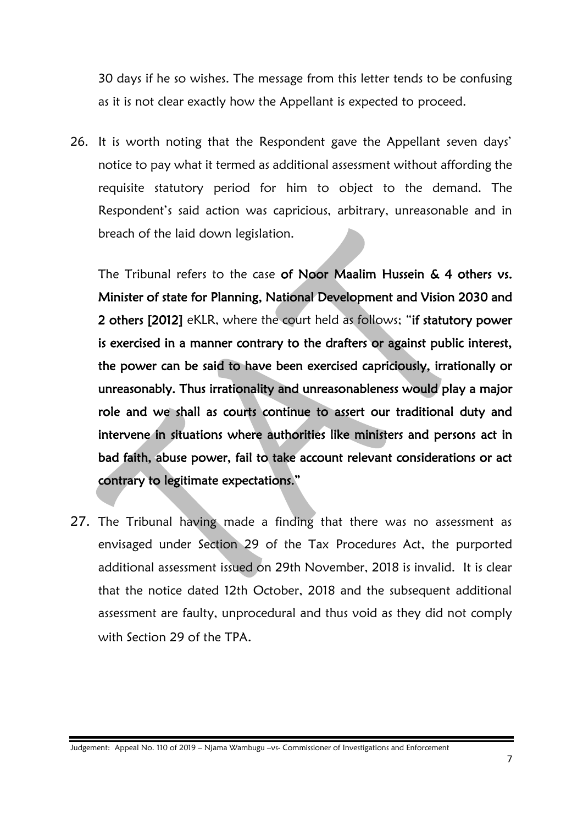30 days if he so wishes. The message from this letter tends to be confusing as it is not clear exactly how the Appellant is expected to proceed.

26. It is worth noting that the Respondent gave the Appellant seven days' notice to pay what it termed as additional assessment without affording the requisite statutory period for him to object to the demand. The Respondent's said action was capricious, arbitrary, unreasonable and in breach of the laid down legislation.

The Tribunal refers to the case of Noor Maalim Hussein & 4 others vs. Minister of state for Planning, National Development and Vision 2030 and 2 others [2012] eKLR, where the court held as follows; "if statutory power is exercised in a manner contrary to the drafters or against public interest, the power can be said to have been exercised capriciously, irrationally or unreasonably. Thus irrationality and unreasonableness would play a major role and we shall as courts continue to assert our traditional duty and intervene in situations where authorities like ministers and persons act in bad faith, abuse power, fail to take account relevant considerations or act contrary to legitimate expectations."

27. The Tribunal having made a finding that there was no assessment as envisaged under Section 29 of the Tax Procedures Act, the purported additional assessment issued on 29th November, 2018 is invalid. It is clear that the notice dated 12th October, 2018 and the subsequent additional assessment are faulty, unprocedural and thus void as they did not comply with Section 29 of the TPA.